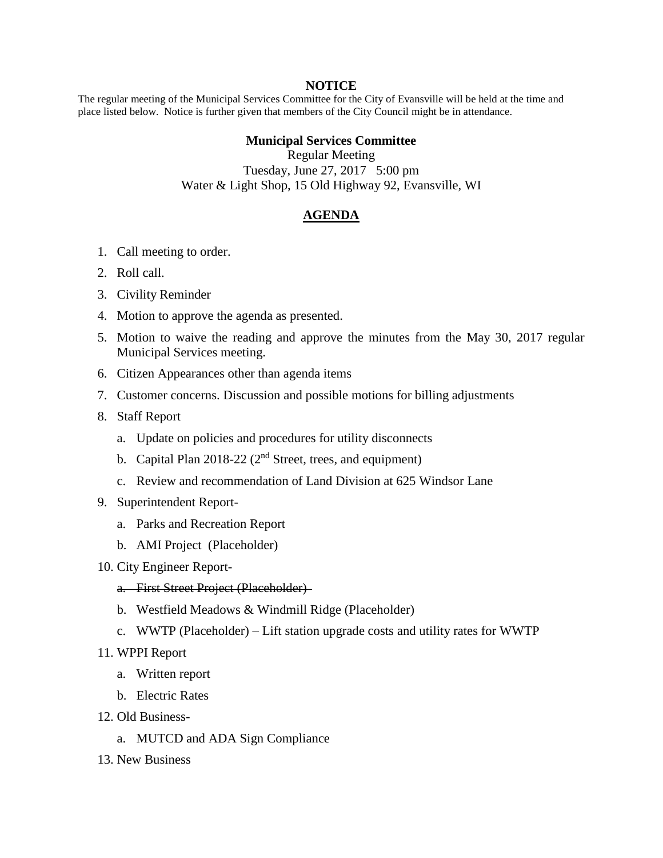## **NOTICE**

The regular meeting of the Municipal Services Committee for the City of Evansville will be held at the time and place listed below. Notice is further given that members of the City Council might be in attendance.

## **Municipal Services Committee**

Regular Meeting Tuesday, June 27, 2017 5:00 pm Water & Light Shop, 15 Old Highway 92, Evansville, WI

## **AGENDA**

- 1. Call meeting to order.
- 2. Roll call.
- 3. Civility Reminder
- 4. Motion to approve the agenda as presented.
- 5. Motion to waive the reading and approve the minutes from the May 30, 2017 regular Municipal Services meeting.
- 6. Citizen Appearances other than agenda items
- 7. Customer concerns. Discussion and possible motions for billing adjustments
- 8. Staff Report
	- a. Update on policies and procedures for utility disconnects
	- b. Capital Plan  $2018-22$  ( $2<sup>nd</sup>$  Street, trees, and equipment)
	- c. Review and recommendation of Land Division at 625 Windsor Lane
- 9. Superintendent Report
	- a. Parks and Recreation Report
	- b. AMI Project (Placeholder)
- 10. City Engineer Report
	- a. First Street Project (Placeholder)
	- b. Westfield Meadows & Windmill Ridge (Placeholder)
	- c. WWTP (Placeholder) Lift station upgrade costs and utility rates for WWTP
- 11. WPPI Report
	- a. Written report
	- b. Electric Rates
- 12. Old Business
	- a. MUTCD and ADA Sign Compliance
- 13. New Business